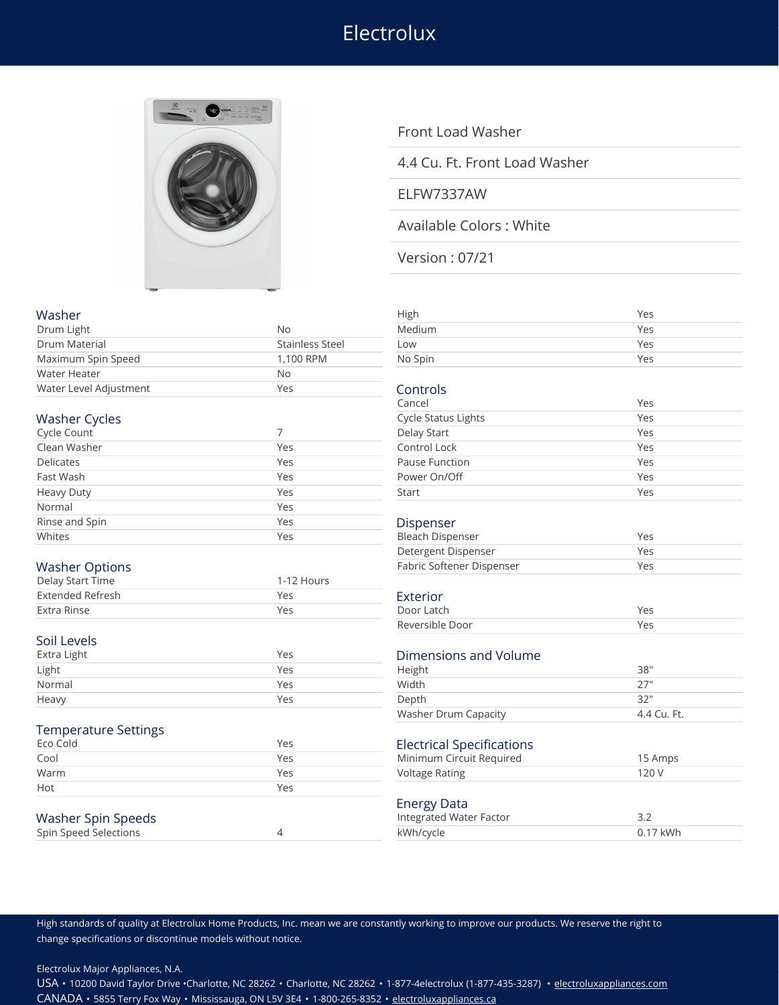# Electrolux



## Front Load Washer

### 4.4 Cu. Ft. Front Load Washer

#### ELFW7337AW

## Available Colors : White

Version : 07/21

| Washer                      |                        | High                             | Yes        |
|-----------------------------|------------------------|----------------------------------|------------|
| Drum Light                  | <b>No</b>              | Medium                           | Yes        |
| Drum Material               | <b>Stainless Steel</b> | Low                              | Yes        |
| Maximum Spin Speed          | 1,100 RPM              | No Spin                          | Yes        |
| <b>Water Heater</b>         | No                     |                                  |            |
| Water Level Adjustment      | Yes                    | Controls                         |            |
|                             |                        | Cancel                           | Yes        |
| <b>Washer Cycles</b>        |                        | <b>Cycle Status Lights</b>       | Yes        |
| Cycle Count                 | 7                      | Delay Start                      | Yes        |
| Clean Washer                | Yes                    | Control Lock                     | Yes        |
| <b>Delicates</b>            | Yes                    | Pause Function                   | Yes        |
| Fast Wash                   | Yes                    | Power On/Off                     | Yes        |
| <b>Heavy Duty</b>           | Yes                    | Start                            | Yes        |
| Normal                      | Yes                    |                                  |            |
| Rinse and Spin              | Yes                    | Dispenser                        |            |
| Whites                      | Yes                    | <b>Bleach Dispenser</b>          | Yes        |
|                             |                        | Detergent Dispenser              | Yes        |
| <b>Washer Options</b>       |                        | Fabric Softener Dispenser        | Yes        |
| Delay Start Time            | 1-12 Hours             |                                  |            |
| <b>Extended Refresh</b>     | Yes                    | Exterior                         |            |
| <b>Extra Rinse</b>          | Yes                    | Door Latch                       | Yes        |
|                             |                        | Reversible Door                  | Yes        |
| Soil Levels                 |                        |                                  |            |
| Extra Light                 | Yes                    | Dimensions and Volume            |            |
| Light                       | Yes                    | Height                           | 38"        |
| Normal                      | Yes                    | Width                            | 27"        |
| Heavy                       | Yes                    | Depth                            | 32"        |
|                             |                        | Washer Drum Capacity             | 4.4 Cu. Ft |
| <b>Temperature Settings</b> |                        |                                  |            |
| Eco Cold                    | Yes                    | <b>Electrical Specifications</b> |            |
| Cool                        | Yes                    | Minimum Circuit Required         | 15 Amps    |
| Warm                        | Yes                    | <b>Voltage Rating</b>            | 120 V      |
| Hot                         | Yes                    |                                  |            |
|                             |                        | <b>Energy Data</b>               |            |
| <b>Washer Spin Speeds</b>   |                        | Integrated Water Factor          | 3.2        |
| Spin Speed Selections       | 4                      | kWh/cycle                        | 0.17 kWh   |
|                             |                        |                                  |            |

| High                             | Yes          |
|----------------------------------|--------------|
| Medium                           | Yes          |
| Low                              | Yes          |
| No Spin                          | Yes          |
|                                  |              |
| Controls                         |              |
| Cancel                           | Yes          |
| <b>Cycle Status Lights</b>       | Yes          |
| Delay Start                      | Yes          |
| Control Lock                     | Yes          |
| <b>Pause Function</b>            | Yes          |
| Power On/Off                     | Yes          |
| Start                            | Yes          |
|                                  |              |
| Dispenser                        |              |
| <b>Bleach Dispenser</b>          | Yes          |
| Detergent Dispenser              | Yes          |
| Fabric Softener Dispenser        | Yes          |
|                                  |              |
| Exterior                         |              |
| Door Latch                       | Yes          |
| Reversible Door                  | Yes          |
|                                  |              |
| <b>Dimensions and Volume</b>     |              |
| Height                           | 38"          |
| Width                            | 27"          |
| Depth                            | 32"          |
| <b>Washer Drum Capacity</b>      | 4.4 Cu. Ft.  |
|                                  |              |
| <b>Electrical Specifications</b> |              |
| Minimum Circuit Required         | 15 Amps      |
| <b>Voltage Rating</b>            | 120 V        |
|                                  |              |
| <b>Energy Data</b>               |              |
| Integrated Water Factor          | 3.2          |
| $1111h$ $ln$                     | $0.17$ $111$ |

High standards of quality at Electrolux Home Products, Inc. mean we are constantly working to improve our products. We reserve the right to change specifications or discontinue models without notice.

Electrolux Major Appliances, N.A.

USA • 10200 David Taylor Drive •Charlotte, NC 28262 • Charlotte, NC 28262 • 1-877-4electrolux (1-877-435-3287) • [electroluxappliances.com](http://electroluxappliances.com) CANADA • 5855 Terry Fox Way • Mississauga, ON L5V 3E4 • 1-800-265-8352 • [electroluxappliances.ca](http://electroluxappliances.ca)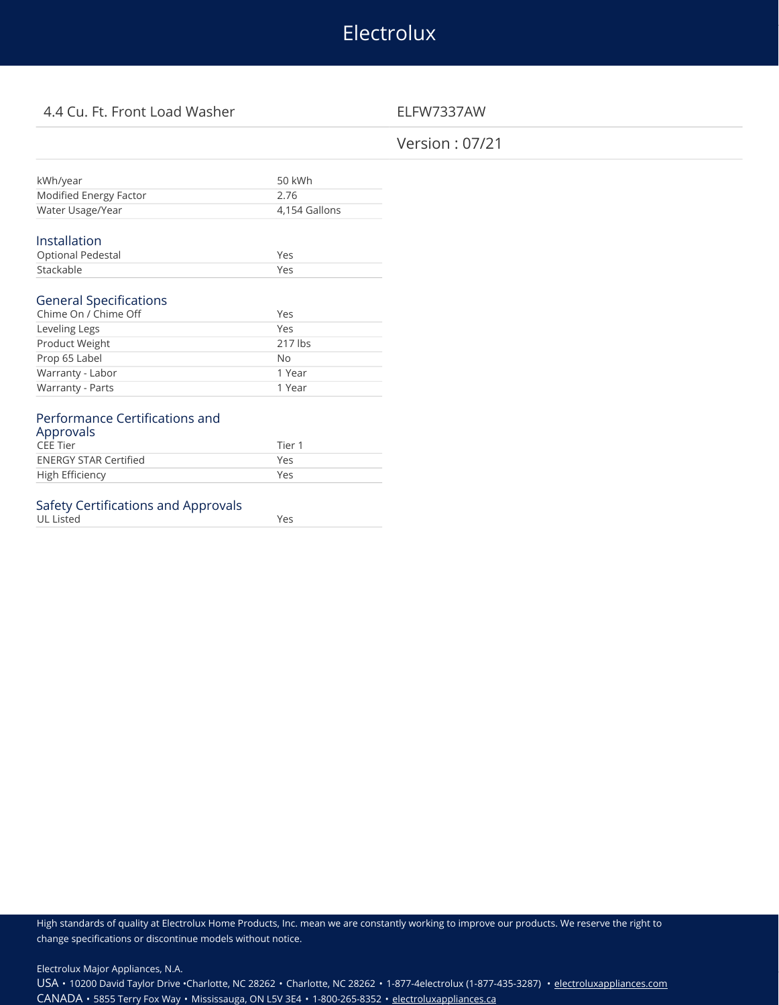# Electrolux

# 4.4 Cu. Ft. Front Load Washer ELFW7337AW

# Version : 07/21

| kWh/year                                          | 50 kWh        |
|---------------------------------------------------|---------------|
| Modified Energy Factor                            | 2.76          |
| Water Usage/Year                                  | 4,154 Gallons |
|                                                   |               |
| Installation                                      |               |
| Optional Pedestal                                 | Yes           |
|                                                   |               |
| Stackable                                         | Yes           |
| Chime On / Chime Off                              | Yes           |
| Leveling Legs                                     | Yes           |
| Product Weight                                    | $217$ lbs     |
| Prop 65 Label                                     | No            |
| <b>General Specifications</b><br>Warranty - Labor | 1 Year        |

# CEE Tier 1 **ENERGY STAR Certified Yes**

| LIVERS LONGED LONGE | $\sim$ |
|---------------------|--------|
| High Efficiency     | Yes    |
|                     |        |

#### Safety Certifications and Approvals UL Listed Yes

High standards of quality at Electrolux Home Products, Inc. mean we are constantly working to improve our products. We reserve the right to change specifications or discontinue models without notice.

Electrolux Major Appliances, N.A.

USA • 10200 David Taylor Drive •Charlotte, NC 28262 • Charlotte, NC 28262 • 1-877-4electrolux (1-877-435-3287) • [electroluxappliances.com](http://electroluxappliances.com) CANADA • 5855 Terry Fox Way • Mississauga, ON L5V 3E4 • 1-800-265-8352 • [electroluxappliances.ca](http://electroluxappliances.ca)